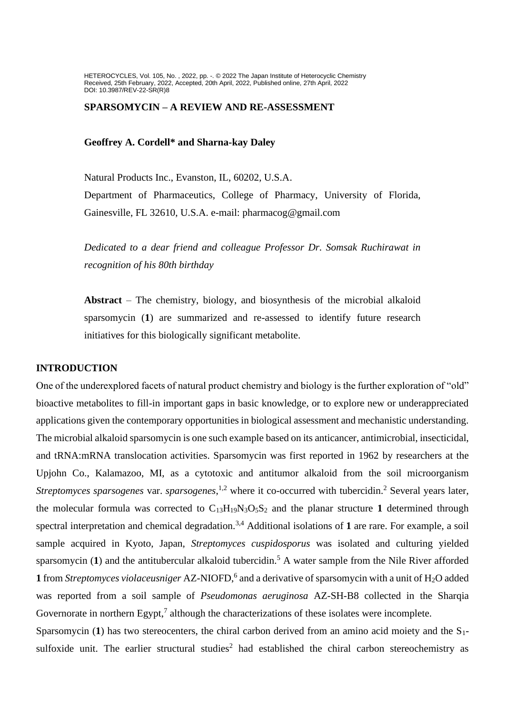HETEROCYCLES, Vol. 105, No. , 2022, pp. -. © 2022 The Japan Institute of Heterocyclic Chemistry Received, 25th February, 2022, Accepted, 20th April, 2022, Published online, 27th April, 2022 DOI: 10.3987/REV-22-SR(R)8

# **SPARSOMYCIN – A REVIEW AND RE-ASSESSMENT**

### **Geoffrey A. Cordell\* and Sharna-kay Daley**

Natural Products Inc., Evanston, IL, 60202, U.S.A. Department of Pharmaceutics, College of Pharmacy, University of Florida, Gainesville, FL 32610, U.S.A. e-mail: pharmacog@gmail.com

*Dedicated to a dear friend and colleague Professor Dr. Somsak Ruchirawat in recognition of his 80th birthday*

**Abstract** – The chemistry, biology, and biosynthesis of the microbial alkaloid sparsomycin (**1**) are summarized and re-assessed to identify future research initiatives for this biologically significant metabolite.

# **INTRODUCTION**

One of the underexplored facets of natural product chemistry and biology is the further exploration of "old" bioactive metabolites to fill-in important gaps in basic knowledge, or to explore new or underappreciated applications given the contemporary opportunities in biological assessment and mechanistic understanding. The microbial alkaloid sparsomycin is one such example based on its anticancer, antimicrobial, insecticidal, and tRNA:mRNA translocation activities. Sparsomycin was first reported in 1962 by researchers at the Upjohn Co., Kalamazoo, MI, as a cytotoxic and antitumor alkaloid from the soil microorganism *Streptomyces sparsogenes* var. *sparsogenes*,<sup>1,2</sup> where it co-occurred with tubercidin.<sup>2</sup> Several years later, the molecular formula was corrected to  $C_{13}H_{19}N_3O_5S_2$  and the planar structure 1 determined through spectral interpretation and chemical degradation.<sup>3,4</sup> Additional isolations of 1 are rare. For example, a soil sample acquired in Kyoto, Japan, *Streptomyces cuspidosporus* was isolated and culturing yielded sparsomycin (1) and the antitubercular alkaloid tubercidin.<sup>5</sup> A water sample from the Nile River afforded **1** from *Streptomyces violaceusniger* AZ-NIOFD,<sup>6</sup> and a derivative of sparsomycin with a unit of H<sub>2</sub>O added was reported from a soil sample of *Pseudomonas aeruginosa* AZ-SH-B8 collected in the Sharqia Governorate in northern  $Esypt$ ,<sup>7</sup> although the characterizations of these isolates were incomplete.

Sparsomycin (1) has two stereocenters, the chiral carbon derived from an amino acid moiety and the S<sub>1</sub>sulfoxide unit. The earlier structural studies<sup>2</sup> had established the chiral carbon stereochemistry as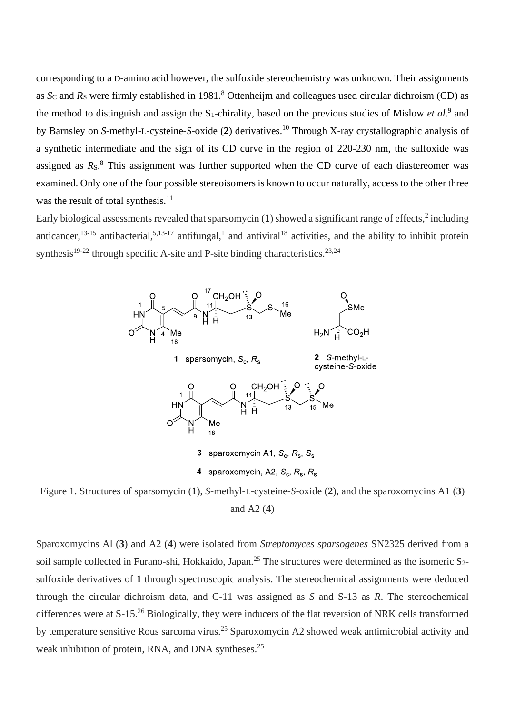corresponding to a D-amino acid however, the sulfoxide stereochemistry was unknown. Their assignments as *S*<sub>C</sub> and *R*<sub>S</sub> were firmly established in 1981.<sup>8</sup> Ottenheijm and colleagues used circular dichroism (CD) as the method to distinguish and assign the  $S_1$ -chirality, based on the previous studies of Mislow *et al.*<sup>9</sup> and by Barnsley on *S*-methyl-L-cysteine-*S*-oxide (**2**) derivatives. <sup>10</sup> Through X-ray crystallographic analysis of a synthetic intermediate and the sign of its CD curve in the region of 220-230 nm, the sulfoxide was assigned as  $R_S$ .<sup>8</sup> This assignment was further supported when the CD curve of each diastereomer was examined. Only one of the four possible stereoisomers is known to occur naturally, access to the other three was the result of total synthesis.<sup>11</sup>

Early biological assessments revealed that sparsomycin  $(1)$  showed a significant range of effects,  $2$  including anticancer,  $13-15$  antibacterial,  $5,13-17$  antifungal,<sup>1</sup> and antiviral<sup>18</sup> activities, and the ability to inhibit protein synthesis<sup>19-22</sup> through specific A-site and P-site binding characteristics.<sup>23,24</sup>



Figure 1. Structures of sparsomycin (**1**), *S*-methyl-L-cysteine-*S*-oxide (**2**), and the sparoxomycins A1 (**3**) and A2 (**4**)

Sparoxomycins Al (**3**) and A2 (**4**) were isolated from *Streptomyces sparsogenes* SN2325 derived from a soil sample collected in Furano-shi, Hokkaido, Japan.<sup>25</sup> The structures were determined as the isomeric  $S_2$ sulfoxide derivatives of **1** through spectroscopic analysis. The stereochemical assignments were deduced through the circular dichroism data, and C-11 was assigned as *S* and S-13 as *R*. The stereochemical differences were at S-15.<sup>26</sup> Biologically, they were inducers of the flat reversion of NRK cells transformed by temperature sensitive Rous sarcoma virus.<sup>25</sup> Sparoxomycin A2 showed weak antimicrobial activity and weak inhibition of protein, RNA, and DNA syntheses.<sup>25</sup>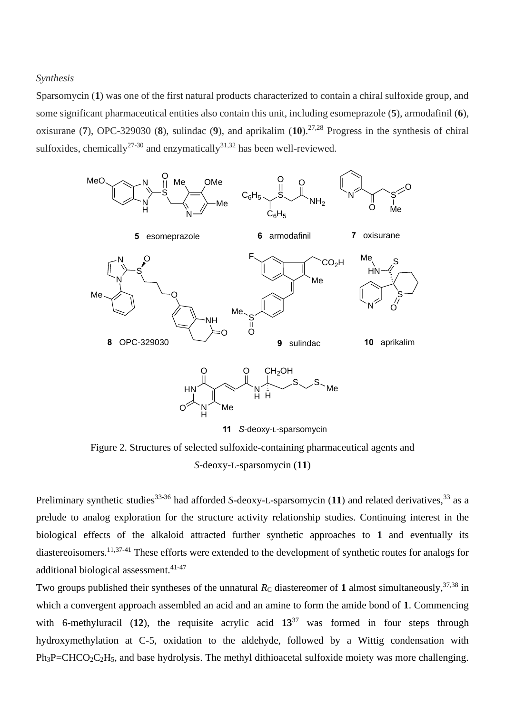*Synthesis*

Sparsomycin (**1**) was one of the first natural products characterized to contain a chiral sulfoxide group, and some significant pharmaceutical entities also contain this unit, including esomeprazole (**5**), armodafinil (**6**), oxisurane (**7**), OPC-329030 (**8**), sulindac (**9**), and aprikalim (**10**).27,28 Progress in the synthesis of chiral sulfoxides, chemically<sup>27-30</sup> and enzymatically<sup>31,32</sup> has been well-reviewed.



Figure 2. Structures of selected sulfoxide-containing pharmaceutical agents and *S*-deoxy-L-sparsomycin (**11**)

Preliminary synthetic studies<sup>33-36</sup> had afforded *S*-deoxy-L-sparsomycin (11) and related derivatives,<sup>33</sup> as a prelude to analog exploration for the structure activity relationship studies. Continuing interest in the biological effects of the alkaloid attracted further synthetic approaches to **1** and eventually its diastereoisomers.<sup>11,37-41</sup> These efforts were extended to the development of synthetic routes for analogs for additional biological assessment.<sup>41-47</sup>

Two groups published their syntheses of the unnatural  $R_C$  diastereomer of 1 almost simultaneously,<sup>37,38</sup> in which a convergent approach assembled an acid and an amine to form the amide bond of **1**. Commencing with 6-methyluracil (12), the requisite acrylic acid  $13^{37}$  was formed in four steps through hydroxymethylation at C-5, oxidation to the aldehyde, followed by a Wittig condensation with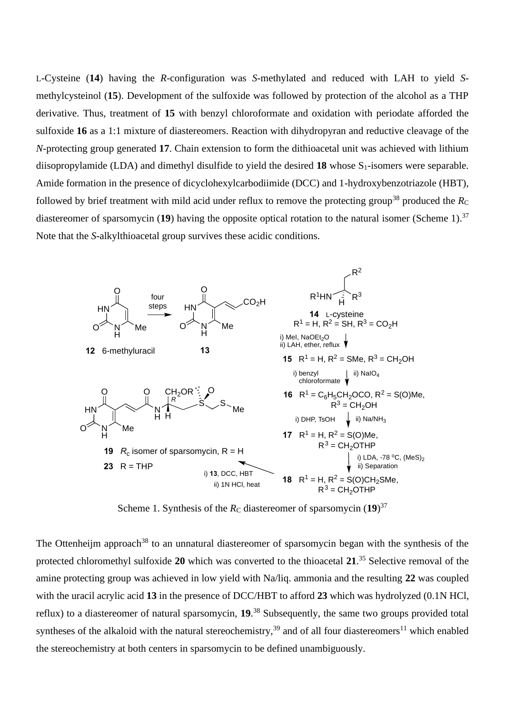L-Cysteine (**14**) having the *R*-configuration was *S*-methylated and reduced with LAH to yield *S*methylcysteinol (**15**). Development of the sulfoxide was followed by protection of the alcohol as a THP derivative. Thus, treatment of **15** with benzyl chloroformate and oxidation with periodate afforded the sulfoxide **16** as a 1:1 mixture of diastereomers. Reaction with dihydropyran and reductive cleavage of the *N*-protecting group generated **17**. Chain extension to form the dithioacetal unit was achieved with lithium diisopropylamide (LDA) and dimethyl disulfide to yield the desired  $18$  whose  $S_1$ -isomers were separable. Amide formation in the presence of dicyclohexylcarbodiimide (DCC) and 1-hydroxybenzotriazole (HBT), followed by brief treatment with mild acid under reflux to remove the protecting group<sup>38</sup> produced the  $R_C$ diastereomer of sparsomycin (**19**) having the opposite optical rotation to the natural isomer (Scheme 1). 37 Note that the *S*-alkylthioacetal group survives these acidic conditions.



Scheme 1. Synthesis of the  $R_C$  diastereomer of sparsomycin  $(19)^{37}$ 

The Ottenheijm approach<sup>38</sup> to an unnatural diastereomer of sparsomycin began with the synthesis of the protected chloromethyl sulfoxide **20** which was converted to the thioacetal **21**. <sup>35</sup> Selective removal of the amine protecting group was achieved in low yield with Na/liq. ammonia and the resulting **22** was coupled with the uracil acrylic acid **13** in the presence of DCC/HBT to afford **23** which was hydrolyzed (0.1N HCl, reflux) to a diastereomer of natural sparsomycin, **19**. <sup>38</sup> Subsequently, the same two groups provided total syntheses of the alkaloid with the natural stereochemistry,<sup>39</sup> and of all four diastereomers<sup>11</sup> which enabled the stereochemistry at both centers in sparsomycin to be defined unambiguously.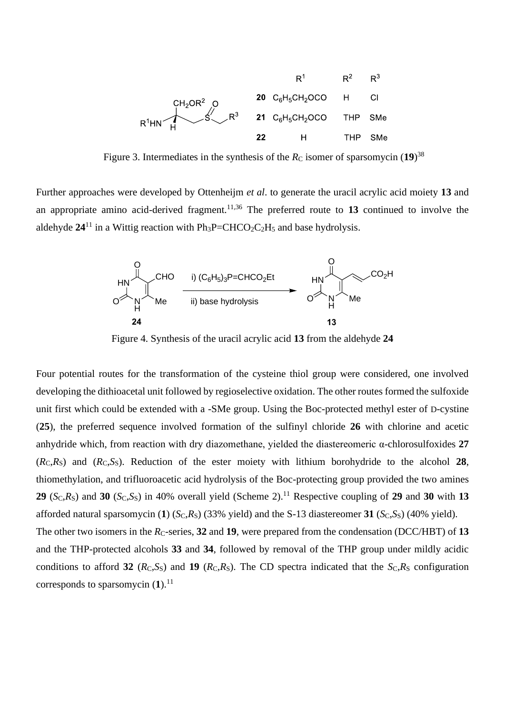

Figure 3. Intermediates in the synthesis of the  $R_C$  isomer of sparsomycin  $(19)^{38}$ 

Further approaches were developed by Ottenheijm *et al*. to generate the uracil acrylic acid moiety **13** and an appropriate amino acid-derived fragment.11,36 The preferred route to **13** continued to involve the aldehyde  $24^{11}$  in a Wittig reaction with  $Ph_3P=CHCO_2C_2H_5$  and base hydrolysis.



Figure 4. Synthesis of the uracil acrylic acid **13** from the aldehyde **24**

Four potential routes for the transformation of the cysteine thiol group were considered, one involved developing the dithioacetal unit followed by regioselective oxidation. The other routes formed the sulfoxide unit first which could be extended with a -SMe group. Using the Boc-protected methyl ester of D-cystine (**25**), the preferred sequence involved formation of the sulfinyl chloride **26** with chlorine and acetic anhydride which, from reaction with dry diazomethane, yielded the diastereomeric α-chlorosulfoxides **27**   $(R<sub>C</sub>,R<sub>S</sub>)$  and  $(R<sub>C</sub>,S<sub>S</sub>)$ . Reduction of the ester moiety with lithium borohydride to the alcohol 28, thiomethylation, and trifluoroacetic acid hydrolysis of the Boc-protecting group provided the two amines **29** (*S*C,*R*S) and **30** (*S*C,*S*S) in 40% overall yield (Scheme 2). <sup>11</sup> Respective coupling of **29** and **30** with **13** afforded natural sparsomycin (1)  $(S_C,R_S)$  (33% yield) and the S-13 diastereomer 31  $(S_C,S_S)$  (40% yield).

The other two isomers in the  $R_C$ -series, 32 and 19, were prepared from the condensation (DCC/HBT) of 13 and the THP-protected alcohols **33** and **34**, followed by removal of the THP group under mildly acidic conditions to afford 32 ( $R<sub>C</sub>, S<sub>S</sub>$ ) and 19 ( $R<sub>C</sub>, R<sub>S</sub>$ ). The CD spectra indicated that the  $S<sub>C</sub>, R<sub>S</sub>$  configuration corresponds to sparsomycin  $(1)$ .<sup>11</sup>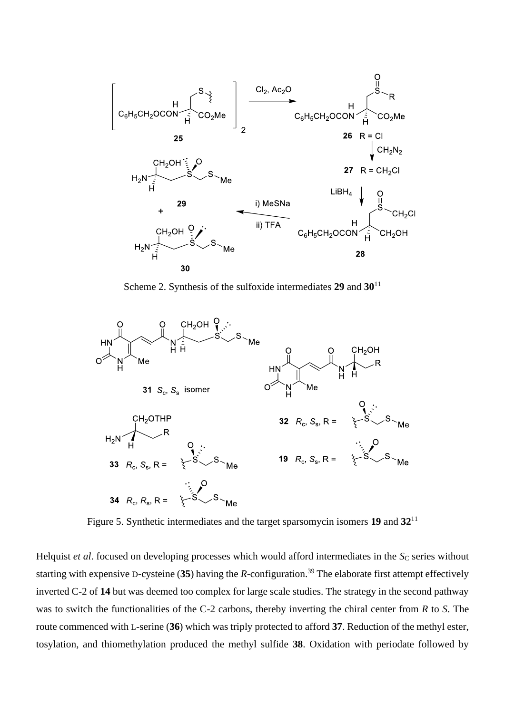

Scheme 2. Synthesis of the sulfoxide intermediates **29** and **30**<sup>11</sup>



Figure 5. Synthetic intermediates and the target sparsomycin isomers **19** and **32**<sup>11</sup>

Helquist *et al.* focused on developing processes which would afford intermediates in the *S*<sub>C</sub> series without starting with expensive D-cysteine (**35**) having the *R*-configuration. <sup>39</sup> The elaborate first attempt effectively inverted C-2 of **14** but was deemed too complex for large scale studies. The strategy in the second pathway was to switch the functionalities of the C-2 carbons, thereby inverting the chiral center from *R* to *S*. The route commenced with L-serine (**36**) which was triply protected to afford **37**. Reduction of the methyl ester, tosylation, and thiomethylation produced the methyl sulfide **38**. Oxidation with periodate followed by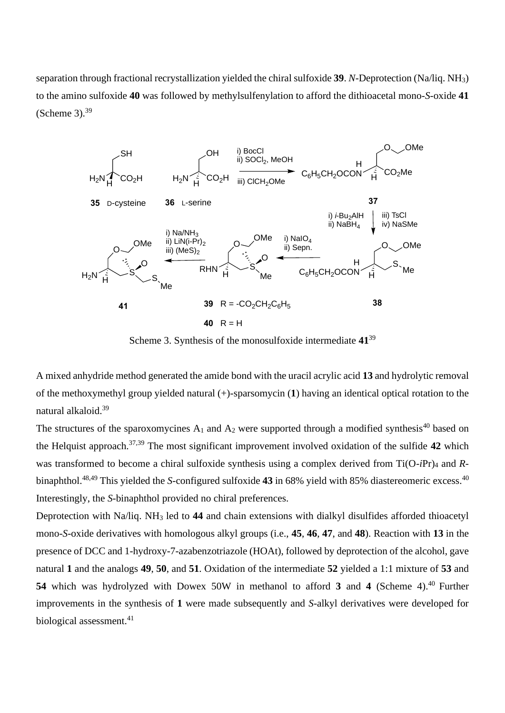separation through fractional recrystallization yielded the chiral sulfoxide **39**. *N*-Deprotection (Na/liq. NH3) to the amino sulfoxide **40** was followed by methylsulfenylation to afford the dithioacetal mono-*S*-oxide **41** (Scheme 3). $39$ 



Scheme 3. Synthesis of the monosulfoxide intermediate **41**<sup>39</sup>

A mixed anhydride method generated the amide bond with the uracil acrylic acid **13** and hydrolytic removal of the methoxymethyl group yielded natural (+)-sparsomycin (**1**) having an identical optical rotation to the natural alkaloid.<sup>39</sup>

The structures of the sparoxomycines  $A_1$  and  $A_2$  were supported through a modified synthesis<sup>40</sup> based on the Helquist approach.37,39 The most significant improvement involved oxidation of the sulfide **42** which was transformed to become a chiral sulfoxide synthesis using a complex derived from Ti(O-*i*Pr)<sup>4</sup> and *R*binaphthol.<sup>48,49</sup> This yielded the *S*-configured sulfoxide **43** in 68% yield with 85% diastereomeric excess.<sup>40</sup> Interestingly, the *S*-binaphthol provided no chiral preferences.

Deprotection with Na/liq. NH<sup>3</sup> led to **44** and chain extensions with dialkyl disulfides afforded thioacetyl mono-*S*-oxide derivatives with homologous alkyl groups (i.e., **45**, **46**, **47**, and **48**). Reaction with **13** in the presence of DCC and 1-hydroxy-7-azabenzotriazole (HOAt), followed by deprotection of the alcohol, gave natural **1** and the analogs **49**, **50**, and **51**. Oxidation of the intermediate **52** yielded a 1:1 mixture of **53** and **54** which was hydrolyzed with Dowex 50W in methanol to afford 3 and 4 (Scheme 4).<sup>40</sup> Further improvements in the synthesis of **1** were made subsequently and *S*-alkyl derivatives were developed for biological assessment.<sup>41</sup>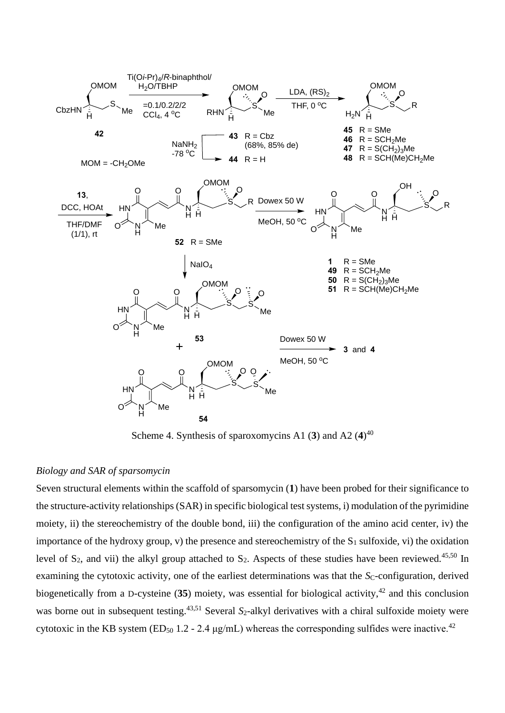

Scheme 4. Synthesis of sparoxomycins A1 (**3**) and A2 (**4**) 40

## *Biology and SAR of sparsomycin*

Seven structural elements within the scaffold of sparsomycin (**1**) have been probed for their significance to the structure-activity relationships (SAR) in specific biological test systems, i) modulation of the pyrimidine moiety, ii) the stereochemistry of the double bond, iii) the configuration of the amino acid center, iv) the importance of the hydroxy group, v) the presence and stereochemistry of the  $S_1$  sulfoxide, vi) the oxidation level of  $S_2$ , and vii) the alkyl group attached to  $S_2$ . Aspects of these studies have been reviewed.<sup>45,50</sup> In examining the cytotoxic activity, one of the earliest determinations was that the  $S<sub>C</sub>$ -configuration, derived biogenetically from a D-cysteine  $(35)$  moiety, was essential for biological activity,<sup>42</sup> and this conclusion was borne out in subsequent testing.<sup>43,51</sup> Several *S*<sub>2</sub>-alkyl derivatives with a chiral sulfoxide moiety were cytotoxic in the KB system (ED<sub>50</sub> 1.2 - 2.4  $\mu$ g/mL) whereas the corresponding sulfides were inactive.<sup>42</sup>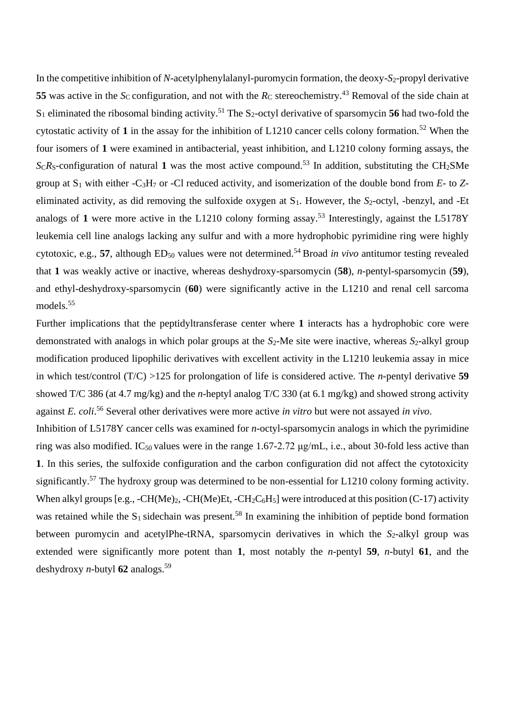In the competitive inhibition of *N*-acetylphenylalanyl-puromycin formation, the deoxy-*S*2-propyl derivative **55** was active in the *Sc* configuration, and not with the  $R_C$  stereochemistry.<sup>43</sup> Removal of the side chain at  $S_1$  eliminated the ribosomal binding activity.<sup>51</sup> The  $S_2$ -octyl derivative of sparsomycin **56** had two-fold the cytostatic activity of 1 in the assay for the inhibition of  $L1210$  cancer cells colony formation.<sup>52</sup> When the four isomers of **1** were examined in antibacterial, yeast inhibition, and L1210 colony forming assays, the  $ScR$ <sub>S</sub>-configuration of natural 1 was the most active compound.<sup>53</sup> In addition, substituting the CH<sub>2</sub>SMe group at S<sup>1</sup> with either -C3H<sup>7</sup> or -Cl reduced activity, and isomerization of the double bond from *E*- to *Z*eliminated activity, as did removing the sulfoxide oxygen at S1. However, the *S*2-octyl, -benzyl, and -Et analogs of 1 were more active in the L1210 colony forming assay.<sup>53</sup> Interestingly, against the L5178Y leukemia cell line analogs lacking any sulfur and with a more hydrophobic pyrimidine ring were highly cytotoxic, e.g., **57**, although ED<sub>50</sub> values were not determined.<sup>54</sup> Broad *in vivo* antitumor testing revealed that **1** was weakly active or inactive, whereas deshydroxy-sparsomycin (**58**), *n*-pentyl-sparsomycin (**59**), and ethyl-deshydroxy-sparsomycin (**60**) were significantly active in the L1210 and renal cell sarcoma models.<sup>55</sup>

Further implications that the peptidyltransferase center where **1** interacts has a hydrophobic core were demonstrated with analogs in which polar groups at the *S*2-Me site were inactive, whereas *S*2-alkyl group modification produced lipophilic derivatives with excellent activity in the L1210 leukemia assay in mice in which test/control (T/C) >125 for prolongation of life is considered active. The *n*-pentyl derivative **59** showed T/C 386 (at 4.7 mg/kg) and the *n*-heptyl analog T/C 330 (at 6.1 mg/kg) and showed strong activity against *E. coli*. <sup>56</sup> Several other derivatives were more active *in vitro* but were not assayed *in vivo*.

Inhibition of L5178Y cancer cells was examined for *n*-octyl-sparsomycin analogs in which the pyrimidine ring was also modified. IC<sub>50</sub> values were in the range 1.67-2.72  $\mu$ g/mL, i.e., about 30-fold less active than **1**. In this series, the sulfoxide configuration and the carbon configuration did not affect the cytotoxicity significantly.<sup>57</sup> The hydroxy group was determined to be non-essential for L1210 colony forming activity. When alkyl groups [e.g.,  $-CH(Me)_2$ ,  $-CH(Me)Et$ ,  $-CH_2C_6H_5$ ] were introduced at this position (C-17) activity was retained while the  $S_1$  sidechain was present.<sup>58</sup> In examining the inhibition of peptide bond formation between puromycin and acetylPhe-tRNA, sparsomycin derivatives in which the *S*<sub>2</sub>-alkyl group was extended were significantly more potent than **1**, most notably the *n*-pentyl **59**, *n*-butyl **61**, and the deshydroxy *n*-butyl  $62$  analogs.<sup>59</sup>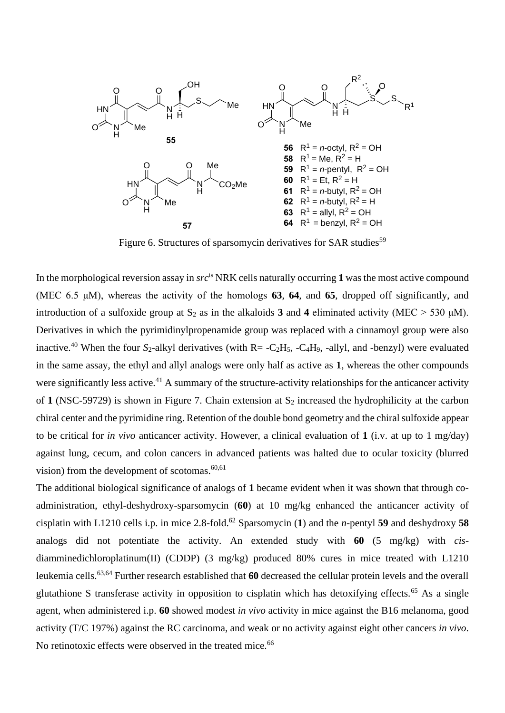

Figure 6. Structures of sparsomycin derivatives for SAR studies<sup>59</sup>

In the morphological reversion assay in *src*<sup>ts</sup> NRK cells naturally occurring 1 was the most active compound (MEC 6.5 μM), whereas the activity of the homologs **63**, **64**, and **65**, dropped off significantly, and introduction of a sulfoxide group at  $S_2$  as in the alkaloids **3** and **4** eliminated activity (MEC  $>$  530 µM). Derivatives in which the pyrimidinylpropenamide group was replaced with a cinnamoyl group were also inactive.<sup>40</sup> When the four *S*<sub>2</sub>-alkyl derivatives (with R= -C<sub>2</sub>H<sub>5</sub>, -C<sub>4</sub>H<sub>9</sub>, -allyl, and -benzyl) were evaluated in the same assay, the ethyl and allyl analogs were only half as active as **1**, whereas the other compounds were significantly less active.<sup>41</sup> A summary of the structure-activity relationships for the anticancer activity of **1** (NSC-59729) is shown in Figure 7. Chain extension at  $S_2$  increased the hydrophilicity at the carbon chiral center and the pyrimidine ring. Retention of the double bond geometry and the chiral sulfoxide appear to be critical for *in vivo* anticancer activity. However, a clinical evaluation of **1** (i.v. at up to 1 mg/day) against lung, cecum, and colon cancers in advanced patients was halted due to ocular toxicity (blurred vision) from the development of scotomas.<sup>60,61</sup>

The additional biological significance of analogs of **1** became evident when it was shown that through coadministration, ethyl-deshydroxy-sparsomycin (**60**) at 10 mg/kg enhanced the anticancer activity of cisplatin with L1210 cells i.p. in mice 2.8-fold.<sup>62</sup> Sparsomycin (**1**) and the *n*-pentyl **59** and deshydroxy **58** analogs did not potentiate the activity. An extended study with **60** (5 mg/kg) with *cis*diamminedichloroplatinum(II) (CDDP) (3 mg/kg) produced 80% cures in mice treated with L1210 leukemia cells.63,64 Further research established that **60** decreased the cellular protein levels and the overall glutathione S transferase activity in opposition to cisplatin which has detoxifying effects.<sup>65</sup> As a single agent, when administered i.p. **60** showed modest *in vivo* activity in mice against the B16 melanoma, good activity (T/C 197%) against the RC carcinoma, and weak or no activity against eight other cancers *in vivo*. No retinotoxic effects were observed in the treated mice.<sup>66</sup>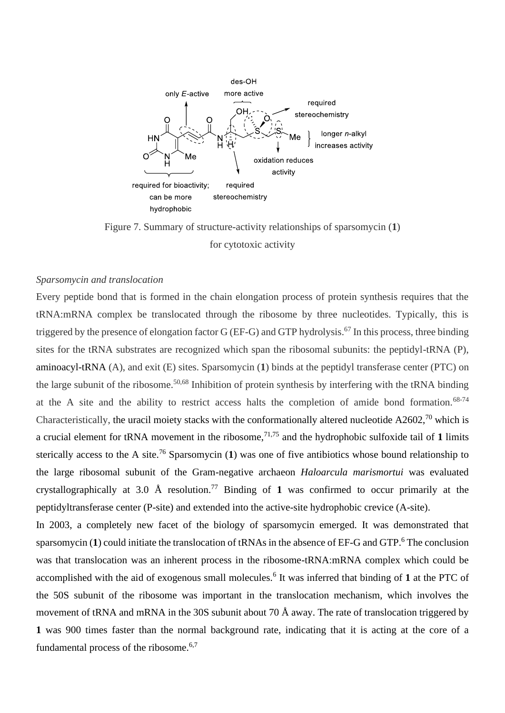

Figure 7. Summary of structure-activity relationships of sparsomycin (**1**) for cytotoxic activity

## *Sparsomycin and translocation*

Every peptide bond that is formed in the chain elongation process of protein synthesis requires that the tRNA:mRNA complex be translocated through the ribosome by three nucleotides. Typically, this is triggered by the presence of elongation factor G (EF-G) and GTP hydrolysis.<sup>67</sup> In this process, three binding sites for the tRNA substrates are recognized which span the ribosomal subunits: the peptidyl-tRNA (P), aminoacyl-tRNA (A), and exit (E) sites. Sparsomycin (**1**) binds at the peptidyl transferase center (PTC) on the large subunit of the ribosome.50,68 Inhibition of protein synthesis by interfering with the tRNA binding at the A site and the ability to restrict access halts the completion of amide bond formation.<sup>68-74</sup> Characteristically, the uracil moiety stacks with the conformationally altered nucleotide  $A2602$ ,<sup>70</sup> which is a crucial element for tRNA movement in the ribosome,71,75 and the hydrophobic sulfoxide tail of **1** limits sterically access to the A site.<sup>76</sup> Sparsomycin (1) was one of five antibiotics whose bound relationship to the large ribosomal subunit of the Gram-negative archaeon *Haloarcula marismortui* was evaluated crystallographically at 3.0 Å resolution.<sup>77</sup> Binding of 1 was confirmed to occur primarily at the peptidyltransferase center (P-site) and extended into the active-site hydrophobic crevice (A-site).

In 2003, a completely new facet of the biology of sparsomycin emerged. It was demonstrated that sparsomycin (1) could initiate the translocation of tRNAs in the absence of EF-G and GTP.<sup>6</sup> The conclusion was that translocation was an inherent process in the ribosome-tRNA:mRNA complex which could be accomplished with the aid of exogenous small molecules.<sup>6</sup> It was inferred that binding of **1** at the PTC of the 50S subunit of the ribosome was important in the translocation mechanism, which involves the movement of tRNA and mRNA in the 30S subunit about 70 Å away. The rate of translocation triggered by **1** was 900 times faster than the normal background rate, indicating that it is acting at the core of a fundamental process of the ribosome. $6,7$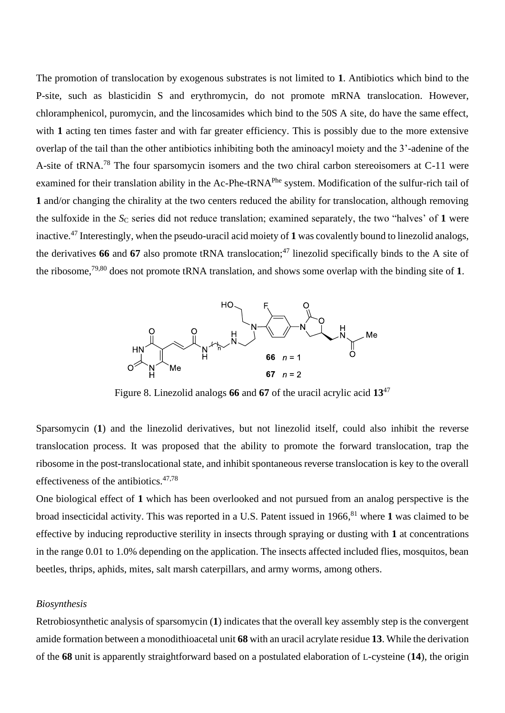The promotion of translocation by exogenous substrates is not limited to **1**. Antibiotics which bind to the P-site, such as blasticidin S and erythromycin, do not promote mRNA translocation. However, chloramphenicol, puromycin, and the lincosamides which bind to the 50S A site, do have the same effect, with 1 acting ten times faster and with far greater efficiency. This is possibly due to the more extensive overlap of the tail than the other antibiotics inhibiting both the aminoacyl moiety and the 3'-adenine of the A-site of tRNA.<sup>78</sup> The four sparsomycin isomers and the two chiral carbon stereoisomers at C-11 were examined for their translation ability in the Ac-Phe-tRNA<sup>Phe</sup> system. Modification of the sulfur-rich tail of **1** and/or changing the chirality at the two centers reduced the ability for translocation, although removing the sulfoxide in the *S<sub>C</sub>* series did not reduce translation; examined separately, the two "halves" of 1 were inactive.<sup>47</sup> Interestingly, when the pseudo-uracil acid moiety of **1** was covalently bound to linezolid analogs, the derivatives 66 and 67 also promote tRNA translocation;<sup>47</sup> linezolid specifically binds to the A site of the ribosome, 79,80 does not promote tRNA translation, and shows some overlap with the binding site of **1**.



Figure 8. Linezolid analogs **66** and **67** of the uracil acrylic acid **13**<sup>47</sup>

Sparsomycin (**1**) and the linezolid derivatives, but not linezolid itself, could also inhibit the reverse translocation process. It was proposed that the ability to promote the forward translocation, trap the ribosome in the post-translocational state, and inhibit spontaneous reverse translocation is key to the overall effectiveness of the antibiotics.47,78

One biological effect of **1** which has been overlooked and not pursued from an analog perspective is the broad insecticidal activity. This was reported in a U.S. Patent issued in 1966, <sup>81</sup> where **1** was claimed to be effective by inducing reproductive sterility in insects through spraying or dusting with **1** at concentrations in the range 0.01 to 1.0% depending on the application. The insects affected included flies, mosquitos, bean beetles, thrips, aphids, mites, salt marsh caterpillars, and army worms, among others.

### *Biosynthesis*

Retrobiosynthetic analysis of sparsomycin (**1**) indicates that the overall key assembly step is the convergent amide formation between a monodithioacetal unit **68** with an uracil acrylate residue **13**. While the derivation of the **68** unit is apparently straightforward based on a postulated elaboration of L-cysteine (**14**), the origin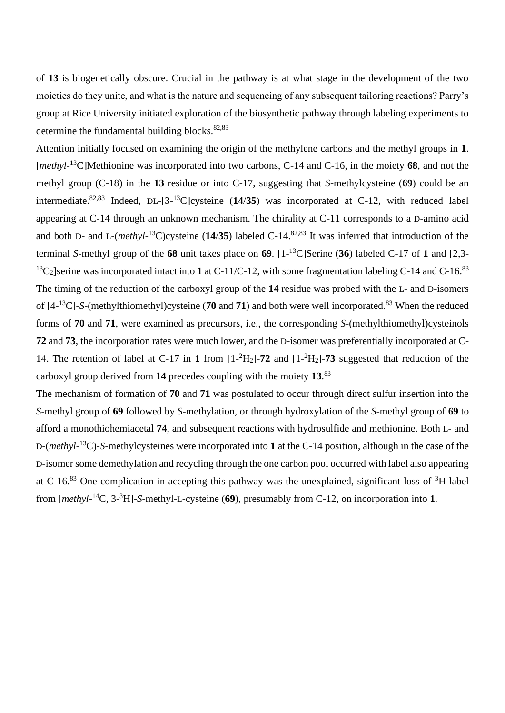of **13** is biogenetically obscure. Crucial in the pathway is at what stage in the development of the two moieties do they unite, and what is the nature and sequencing of any subsequent tailoring reactions? Parry's group at Rice University initiated exploration of the biosynthetic pathway through labeling experiments to determine the fundamental building blocks. $82,83$ 

Attention initially focused on examining the origin of the methylene carbons and the methyl groups in **1**. [*methyl*-<sup>13</sup>C]Methionine was incorporated into two carbons, C-14 and C-16, in the moiety **68**, and not the methyl group (C-18) in the **13** residue or into C-17, suggesting that *S*-methylcysteine (**69**) could be an intermediate.82,83 Indeed, DL-[3- <sup>13</sup>C]cysteine (**14**/**35**) was incorporated at C-12, with reduced label appearing at C-14 through an unknown mechanism. The chirality at C-11 corresponds to a D-amino acid and both D- and L-(*methyl*-<sup>13</sup>C)cysteine (**14**/**35**) labeled C-14.82,83 It was inferred that introduction of the terminal *S*-methyl group of the **68** unit takes place on **69**. [1- <sup>13</sup>C]Serine (**36**) labeled C-17 of **1** and [2,3-  $^{13}C_2$ ]serine was incorporated intact into 1 at C-11/C-12, with some fragmentation labeling C-14 and C-16.<sup>83</sup> The timing of the reduction of the carboxyl group of the **14** residue was probed with the L- and D-isomers of [4- <sup>13</sup>C]-*S*-(methylthiomethyl)cysteine (**70** and **71**) and both were well incorporated.<sup>83</sup> When the reduced forms of **70** and **71**, were examined as precursors, i.e., the corresponding *S*-(methylthiomethyl)cysteinols **72** and **73**, the incorporation rates were much lower, and the D-isomer was preferentially incorporated at C-14. The retention of label at C-17 in **1** from [1- <sup>2</sup>H2]-**72** and [1- <sup>2</sup>H2]-**73** suggested that reduction of the carboxyl group derived from **14** precedes coupling with the moiety **13**. 83

The mechanism of formation of **70** and **71** was postulated to occur through direct sulfur insertion into the *S*-methyl group of **69** followed by *S*-methylation, or through hydroxylation of the *S*-methyl group of **69** to afford a monothiohemiacetal **74**, and subsequent reactions with hydrosulfide and methionine. Both L- and D-(*methyl*-<sup>13</sup>C)-*S*-methylcysteines were incorporated into **1** at the C-14 position, although in the case of the D-isomer some demethylation and recycling through the one carbon pool occurred with label also appearing at C-16.<sup>83</sup> One complication in accepting this pathway was the unexplained, significant loss of <sup>3</sup>H label from [*methyl*-<sup>14</sup>C, 3- <sup>3</sup>H]-*S*-methyl-L-cysteine (**69**), presumably from C-12, on incorporation into **1**.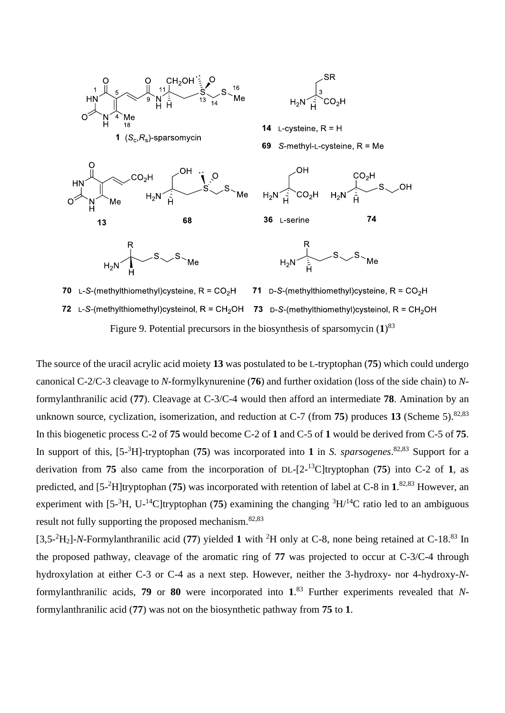

Figure 9. Potential precursors in the biosynthesis of sparsomycin (**1**) 83

The source of the uracil acrylic acid moiety **13** was postulated to be L-tryptophan (**75**) which could undergo canonical C-2/C-3 cleavage to *N*-formylkynurenine (**76**) and further oxidation (loss of the side chain) to *N*formylanthranilic acid (**77**). Cleavage at C-3/C-4 would then afford an intermediate **78**. Amination by an unknown source, cyclization, isomerization, and reduction at  $C$ -7 (from **75**) produces 13 (Scheme 5).<sup>82,83</sup> In this biogenetic process C-2 of **75** would become C-2 of **1** and C-5 of **1** would be derived from C-5 of **75**. In support of this, [5- <sup>3</sup>H]-tryptophan (**75**) was incorporated into **1** in *S. sparsogenes*. 82,83 Support for a derivation from **75** also came from the incorporation of DL-[2- <sup>13</sup>C]tryptophan (**75**) into C-2 of **1**, as predicted, and [5- <sup>2</sup>H]tryptophan (**75**) was incorporated with retention of label at C-8 in **1**. 82,83 However, an experiment with  $[5^{-3}H, U^{-14}C]$ tryptophan (75) examining the changing  ${}^{3}H/{}^{14}C$  ratio led to an ambiguous result not fully supporting the proposed mechanism.82,83

[3,5- <sup>2</sup>H2]-*N*-Formylanthranilic acid (**77**) yielded **1** with <sup>2</sup>H only at C-8, none being retained at C-18.<sup>83</sup> In the proposed pathway, cleavage of the aromatic ring of **77** was projected to occur at C-3/C-4 through hydroxylation at either C-3 or C-4 as a next step. However, neither the 3-hydroxy- nor 4-hydroxy-*N*formylanthranilic acids, **79** or **80** were incorporated into **1**. <sup>83</sup> Further experiments revealed that *N*formylanthranilic acid (**77**) was not on the biosynthetic pathway from **75** to **1**.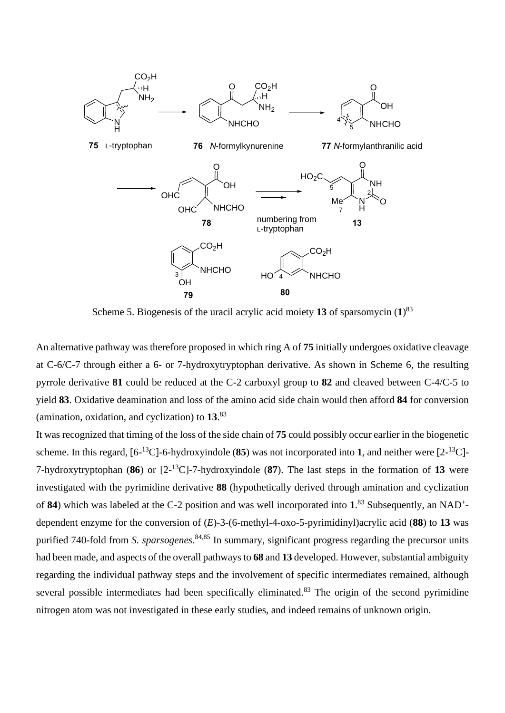

Scheme 5. Biogenesis of the uracil acrylic acid moiety **13** of sparsomycin (**1**) 83

An alternative pathway was therefore proposed in which ring A of **75** initially undergoes oxidative cleavage at C-6/C-7 through either a 6- or 7-hydroxytryptophan derivative. As shown in Scheme 6, the resulting pyrrole derivative **81** could be reduced at the C-2 carboxyl group to **82** and cleaved between C-4/C-5 to yield **83**. Oxidative deamination and loss of the amino acid side chain would then afford **84** for conversion (amination, oxidation, and cyclization) to **13**. 83

It was recognized that timing of the loss of the side chain of **75** could possibly occur earlier in the biogenetic scheme. In this regard, [6- <sup>13</sup>C]-6-hydroxyindole (**85**) was not incorporated into **1**, and neither were [2- <sup>13</sup>C]- 7-hydroxytryptophan (**86**) or [2- <sup>13</sup>C]-7-hydroxyindole (**87**). The last steps in the formation of **13** were investigated with the pyrimidine derivative **88** (hypothetically derived through amination and cyclization of **84**) which was labeled at the C-2 position and was well incorporated into **1**. <sup>83</sup> Subsequently, an NAD<sup>+</sup> dependent enzyme for the conversion of (*E*)-3-(6-methyl-4-oxo-5-pyrimidinyl)acrylic acid (**88**) to **13** was purified 740-fold from *S. sparsogenes*. 84,85 In summary, significant progress regarding the precursor units had been made, and aspects of the overall pathways to **68** and **13** developed. However, substantial ambiguity regarding the individual pathway steps and the involvement of specific intermediates remained, although several possible intermediates had been specifically eliminated.<sup>83</sup> The origin of the second pyrimidine nitrogen atom was not investigated in these early studies, and indeed remains of unknown origin.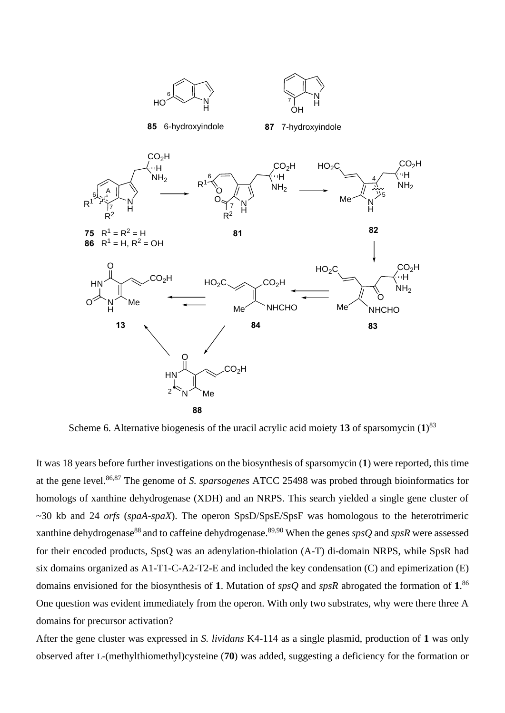

Scheme 6. Alternative biogenesis of the uracil acrylic acid moiety **13** of sparsomycin (**1**) 83

It was 18 years before further investigations on the biosynthesis of sparsomycin (**1**) were reported, this time at the gene level.86,87 The genome of *S. sparsogenes* ATCC 25498 was probed through bioinformatics for homologs of xanthine dehydrogenase (XDH) and an NRPS. This search yielded a single gene cluster of ~30 kb and 24 *orfs* (*spaA*-*spaX*). The operon SpsD/SpsE/SpsF was homologous to the heterotrimeric xanthine dehydrogenase<sup>88</sup> and to caffeine dehydrogenase.<sup>89,90</sup> When the genes *spsQ* and *spsR* were assessed for their encoded products, SpsQ was an adenylation-thiolation (A-T) di-domain NRPS, while SpsR had six domains organized as A1-T1-C-A2-T2-E and included the key condensation (C) and epimerization (E) domains envisioned for the biosynthesis of **1**. Mutation of *spsQ* and *spsR* abrogated the formation of **1**. 86 One question was evident immediately from the operon. With only two substrates, why were there three A domains for precursor activation?

After the gene cluster was expressed in *S. lividans* K4-114 as a single plasmid, production of **1** was only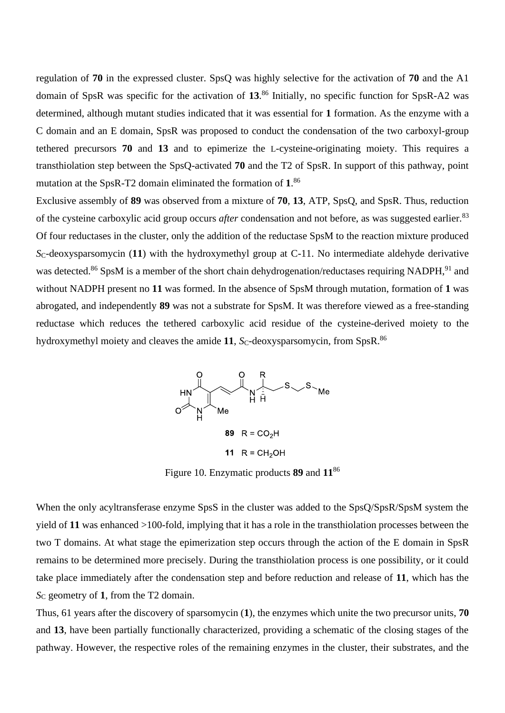regulation of **70** in the expressed cluster. SpsQ was highly selective for the activation of **70** and the A1 domain of SpsR was specific for the activation of **13**. <sup>86</sup> Initially, no specific function for SpsR-A2 was determined, although mutant studies indicated that it was essential for **1** formation. As the enzyme with a C domain and an E domain, SpsR was proposed to conduct the condensation of the two carboxyl-group tethered precursors **70** and **13** and to epimerize the L-cysteine-originating moiety. This requires a transthiolation step between the SpsQ-activated **70** and the T2 of SpsR. In support of this pathway, point mutation at the SpsR-T2 domain eliminated the formation of **1**. 86

Exclusive assembly of **89** was observed from a mixture of **70**, **13**, ATP, SpsQ, and SpsR. Thus, reduction of the cysteine carboxylic acid group occurs *after* condensation and not before, as was suggested earlier.<sup>83</sup> Of four reductases in the cluster, only the addition of the reductase SpsM to the reaction mixture produced *S*C-deoxysparsomycin (**11**) with the hydroxymethyl group at C-11. No intermediate aldehyde derivative was detected.<sup>86</sup> SpsM is a member of the short chain dehydrogenation/reductases requiring NADPH,<sup>91</sup> and without NADPH present no **11** was formed. In the absence of SpsM through mutation, formation of **1** was abrogated, and independently **89** was not a substrate for SpsM. It was therefore viewed as a free-standing reductase which reduces the tethered carboxylic acid residue of the cysteine-derived moiety to the hydroxymethyl moiety and cleaves the amide 11,  $S<sub>C</sub>$ -deoxysparsomycin, from SpsR.<sup>86</sup>



Figure 10. Enzymatic products **89** and **11**<sup>86</sup>

When the only acyltransferase enzyme SpsS in the cluster was added to the SpsQ/SpsR/SpsM system the yield of **11** was enhanced >100-fold, implying that it has a role in the transthiolation processes between the two T domains. At what stage the epimerization step occurs through the action of the E domain in SpsR remains to be determined more precisely. During the transthiolation process is one possibility, or it could take place immediately after the condensation step and before reduction and release of **11**, which has the *S*<sup>C</sup> geometry of **1**, from the T2 domain.

Thus, 61 years after the discovery of sparsomycin (**1**), the enzymes which unite the two precursor units, **70**  and **13**, have been partially functionally characterized, providing a schematic of the closing stages of the pathway. However, the respective roles of the remaining enzymes in the cluster, their substrates, and the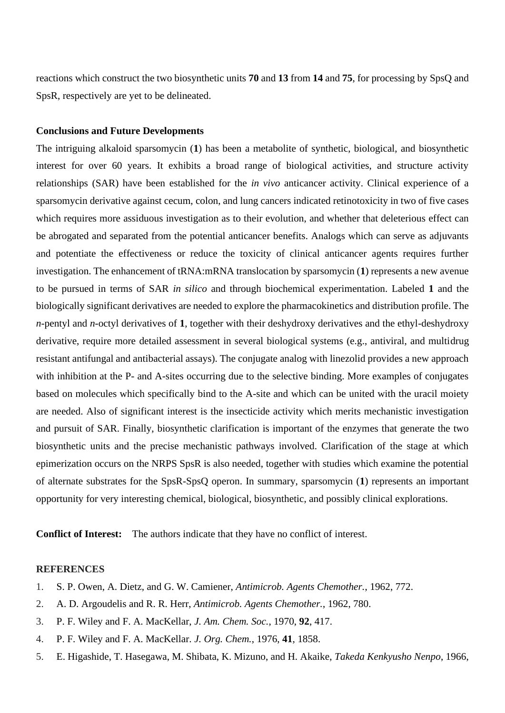reactions which construct the two biosynthetic units **70** and **13** from **14** and **75**, for processing by SpsQ and SpsR, respectively are yet to be delineated.

### **Conclusions and Future Developments**

The intriguing alkaloid sparsomycin (**1**) has been a metabolite of synthetic, biological, and biosynthetic interest for over 60 years. It exhibits a broad range of biological activities, and structure activity relationships (SAR) have been established for the *in vivo* anticancer activity. Clinical experience of a sparsomycin derivative against cecum, colon, and lung cancers indicated retinotoxicity in two of five cases which requires more assiduous investigation as to their evolution, and whether that deleterious effect can be abrogated and separated from the potential anticancer benefits. Analogs which can serve as adjuvants and potentiate the effectiveness or reduce the toxicity of clinical anticancer agents requires further investigation. The enhancement of tRNA:mRNA translocation by sparsomycin (**1**) represents a new avenue to be pursued in terms of SAR *in silico* and through biochemical experimentation. Labeled **1** and the biologically significant derivatives are needed to explore the pharmacokinetics and distribution profile. The *n*-pentyl and *n*-octyl derivatives of **1**, together with their deshydroxy derivatives and the ethyl-deshydroxy derivative, require more detailed assessment in several biological systems (e.g., antiviral, and multidrug resistant antifungal and antibacterial assays). The conjugate analog with linezolid provides a new approach with inhibition at the P- and A-sites occurring due to the selective binding. More examples of conjugates based on molecules which specifically bind to the A-site and which can be united with the uracil moiety are needed. Also of significant interest is the insecticide activity which merits mechanistic investigation and pursuit of SAR. Finally, biosynthetic clarification is important of the enzymes that generate the two biosynthetic units and the precise mechanistic pathways involved. Clarification of the stage at which epimerization occurs on the NRPS SpsR is also needed, together with studies which examine the potential of alternate substrates for the SpsR-SpsQ operon. In summary, sparsomycin (**1**) represents an important opportunity for very interesting chemical, biological, biosynthetic, and possibly clinical explorations.

**Conflict of Interest:** The authors indicate that they have no conflict of interest.

#### **REFERENCES**

- 1. S. P. Owen, A. Dietz, and G. W. Camiener, *Antimicrob. Agents Chemother.*, 1962, 772.
- 2. A. D. Argoudelis and R. R. Herr, *Antimicrob. Agents Chemother.*, 1962, 780.
- 3. P. F. Wiley and F. A. MacKellar, *J. Am. Chem. Soc.*, 1970, **92**, 417.
- 4. P. F. Wiley and F. A. MacKellar. *J. Org. Chem.*, 1976, **41**, 1858.
- 5. E. Higashide, T. Hasegawa, M. Shibata, K. Mizuno, and H. Akaike, *Takeda Kenkyusho Nenpo*, 1966,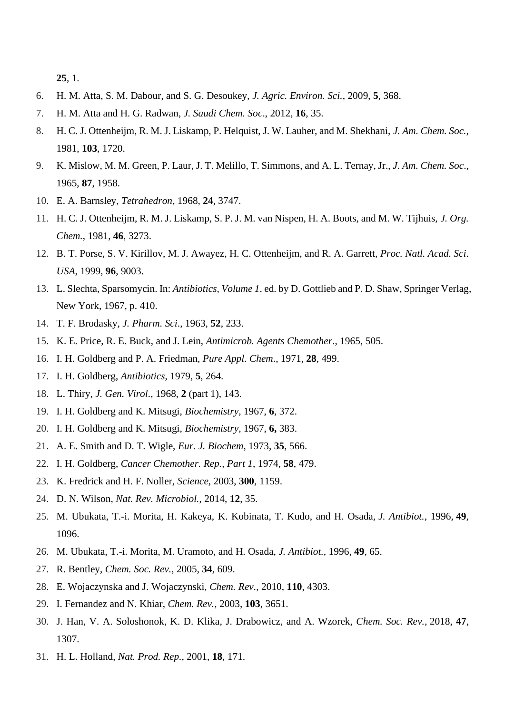**25**, 1.

- 6. H. M. Atta, S. M. Dabour, and S. G. Desoukey, *J. Agric. Environ. Sci.*, 2009, **5**, 368.
- 7. H. M. Atta and H. G. Radwan, *J. Saudi Chem. Soc*., 2012, **16**, 35.
- 8. H. C. J. Ottenheijm, R. M. J. Liskamp, P. Helquist, J. W. Lauher, and M. Shekhani, *J. Am. Chem. Soc.*, 1981, **103**, 1720.
- 9. K. Mislow, M. M. Green, P. Laur, J. T. Melillo, T. Simmons, and A. L. Ternay, Jr., *J. Am. Chem. Soc*., 1965, **87**, 1958.
- 10. E. A. Barnsley, *Tetrahedron*, 1968, **24**, 3747.
- 11. H. C. J. Ottenheijm, R. M. J. Liskamp, S. P. J. M. van Nispen, H. A. Boots, and M. W. Tijhuis, *J. Org. Chem.*, 1981, **46**, 3273.
- 12. B. T. Porse, S. V. Kirillov, M. J. Awayez, H. C. Ottenheijm, and R. A. Garrett, *Proc. Natl. Acad. Sci*. *USA*, 1999, **96**, 9003.
- 13. L. Slechta, Sparsomycin. In: *Antibiotics, Volume 1*. ed. by D. Gottlieb and P. D. Shaw, Springer Verlag, New York, 1967, p. 410.
- 14. T. F. Brodasky, *J. Pharm. Sci*., 1963, **52**, 233.
- 15. K. E. Price, R. E. Buck, and J. Lein, *Antimicrob. Agents Chemother*., 1965, 505.
- 16. I. H. Goldberg and P. A. Friedman, *Pure Appl. Chem*., 1971, **28**, 499.
- 17. I. H. Goldberg, *Antibiotics*, 1979, **5**, 264.
- 18. L. Thiry, *J. Gen. Virol*., 1968, **2** (part 1), 143.
- 19. I. H. Goldberg and K. Mitsugi, *Biochemistry*, 1967, **6**, 372.
- 20. I. H. Goldberg and K. Mitsugi, *Biochemistry*, 1967, **6,** 383.
- 21. A. E. Smith and D. T. Wigle, *Eur. J. Biochem*, 1973, **35**, 566.
- 22. I. H. Goldberg, *Cancer Chemother. Rep., Part 1*, 1974, **58**, 479.
- 23. K. Fredrick and H. F. Noller, *Science*, 2003, **300**, 1159.
- 24. D. N. Wilson, *Nat. Rev. Microbiol.*, 2014, **12**, 35.
- 25. M. Ubukata, T.-i. Morita, H. Kakeya, K. Kobinata, T. Kudo, and H. Osada, *J. Antibiot.*, 1996, **49**, 1096.
- 26. M. Ubukata, T.-i. Morita, M. Uramoto, and H. Osada, *J. Antibiot.*, 1996, **49**, 65.
- 27. R. Bentley, *Chem. Soc. Rev.*, 2005, **34**, 609.
- 28. E. Wojaczynska and J. Wojaczynski, *Chem. Rev.*, 2010, **110**, 4303.
- 29. I. Fernandez and N. Khiar, *Chem. Rev.*, 2003, **103**, 3651.
- 30. J. Han, V. A. Soloshonok, K. D. Klika, J. Drabowicz, and A. Wzorek, *Chem. Soc. Rev.*, 2018, **47**, 1307.
- 31. H. L. Holland, *Nat. Prod. Rep.*, 2001, **18**, 171.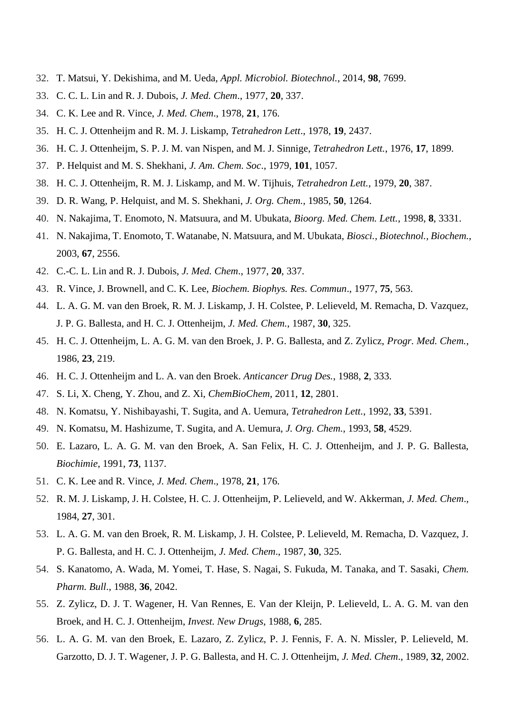- 32. T. Matsui, Y. Dekishima, and M. Ueda, *Appl. Microbiol. Biotechnol.*, 2014, **98**, 7699.
- 33. C. C. L. Lin and R. J. Dubois, *J. Med. Chem*., 1977, **20**, 337.
- 34. C. K. Lee and R. Vince, *J. Med. Chem*., 1978, **21**, 176.
- 35. H. C. J. Ottenheijm and R. M. J. Liskamp, *Tetrahedron Lett*., 1978, **19**, 2437.
- 36. H. C. J. Ottenheijm, S. P. J. M. van Nispen, and M. J. Sinnige, *Tetrahedron Lett.*, 1976, **17**, 1899.
- 37. P. Helquist and M. S. Shekhani, *J. Am. Chem. Soc*., 1979, **101**, 1057.
- 38. H. C. J. Ottenheijm, R. M. J. Liskamp, and M. W. Tijhuis, *Tetrahedron Lett.*, 1979, **20**, 387.
- 39. D. R. Wang, P. Helquist, and M. S. Shekhani, *J. Org. Chem.*, 1985, **50**, 1264.
- 40. N. Nakajima, T. Enomoto, N. Matsuura, and M. Ubukata, *Bioorg. Med. Chem. Lett.*, 1998, **8**, 3331.
- 41. N. Nakajima, T. Enomoto, T. Watanabe, N. Matsuura, and M. Ubukata, *Biosci., Biotechnol., Biochem.*, 2003, **67**, 2556.
- 42. C.-C. L. Lin and R. J. Dubois, *J. Med. Chem*., 1977, **20**, 337.
- 43. R. Vince, J. Brownell, and C. K. Lee, *Biochem. Biophys. Res. Commun*., 1977, **75**, 563.
- 44. L. A. G. M. van den Broek, R. M. J. Liskamp, J. H. Colstee, P. Lelieveld, M. Remacha, D. Vazquez, J. P. G. Ballesta, and H. C. J. Ottenheijm, *J. Med. Chem.*, 1987, **30**, 325.
- 45. H. C. J. Ottenheijm, L. A. G. M. van den Broek, J. P. G. Ballesta, and Z. Zylicz, *Progr. Med. Chem.*, 1986, **23**, 219.
- 46. H. C. J. Ottenheijm and L. A. van den Broek. *Anticancer Drug Des.*, 1988, **2**, 333.
- 47. S. Li, X. Cheng, Y. Zhou, and Z. Xi, *ChemBioChem*, 2011, **12**, 2801.
- 48. N. Komatsu, Y. Nishibayashi, T. Sugita, and A. Uemura, *Tetrahedron Lett.*, 1992, **33***,* 5391.
- 49. N. Komatsu, M. Hashizume, T. Sugita, and A. Uemura, *J. Org. Chem.*, 1993, **58**, 4529.
- 50. E. Lazaro, L. A. G. M. van den Broek, A. San Felix, H. C. J. Ottenheijm, and J. P. G. Ballesta, *Biochimie*, 1991, **73**, 1137.
- 51. C. K. Lee and R. Vince, *J. Med. Chem*., 1978, **21**, 176.
- 52. R. M. J. Liskamp, J. H. Colstee, H. C. J. Ottenheijm, P. Lelieveld, and W. Akkerman, *J. Med. Chem*., 1984, **27**, 301.
- 53. L. A. G. M. van den Broek, R. M. Liskamp, J. H. Colstee, P. Lelieveld, M. Remacha, D. Vazquez, J. P. G. Ballesta, and H. C. J. Ottenheijm, *J. Med. Chem*., 1987, **30**, 325.
- 54. S. Kanatomo, A. Wada, M. Yomei, T. Hase, S. Nagai, S. Fukuda, M. Tanaka, and T. Sasaki, *Chem. Pharm. Bull*., 1988, **36**, 2042.
- 55. Z. Zylicz, D. J. T. Wagener, H. Van Rennes, E. Van der Kleijn, P. Lelieveld, L. A. G. M. van den Broek, and H. C. J. Ottenheijm, *Invest. New Drugs*, 1988, **6**, 285.
- 56. L. A. G. M. van den Broek, E. Lazaro, Z. Zylicz, P. J. Fennis, F. A. N. Missler, P. Lelieveld, M. Garzotto, D. J. T. Wagener, J. P. G. Ballesta, and H. C. J. Ottenheijm, *J. Med. Chem*., 1989, **32**, 2002.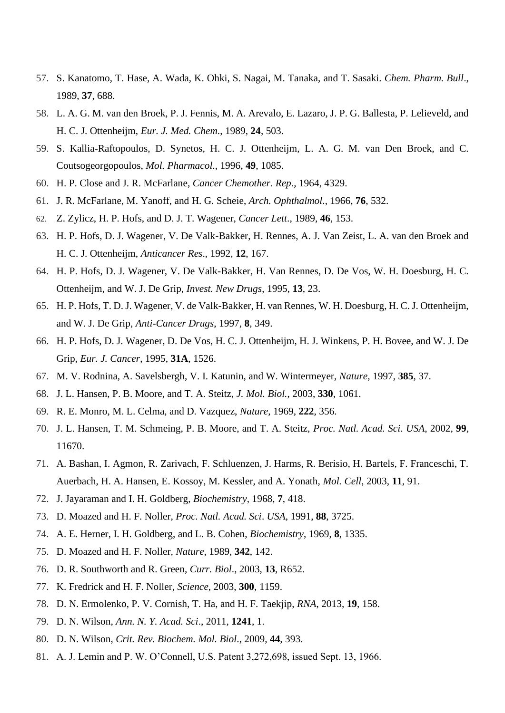- 57. S. Kanatomo, T. Hase, A. Wada, K. Ohki, S. Nagai, M. Tanaka, and T. Sasaki. *Chem. Pharm. Bull*., 1989, **37**, 688.
- 58. L. A. G. M. van den Broek, P. J. Fennis, M. A. Arevalo, E. Lazaro, J. P. G. Ballesta, P. Lelieveld, and H. C. J. Ottenheijm, *Eur. J. Med. Chem*., 1989, **24**, 503.
- 59. S. Kallia-Raftopoulos, D. Synetos, H. C. J. Ottenheijm, L. A. G. M. van Den Broek, and C. Coutsogeorgopoulos, *Mol. Pharmacol*., 1996, **49**, 1085.
- 60. H. P. Close and J. R. McFarlane, *Cancer Chemother. Rep*., 1964, 4329.
- 61. J. R. McFarlane, M. Yanoff, and H. G. Scheie, *Arch. Ophthalmol*., 1966, **76**, 532.
- 62. Z. Zylicz, H. P. Hofs, and D. J. T. Wagener, *Cancer Lett*., 1989, **46**, 153.
- 63. H. P. Hofs, D. J. Wagener, V. De Valk-Bakker, H. Rennes, A. J. Van Zeist, L. A. van den Broek and H. C. J. Ottenheijm, *Anticancer Res*., 1992, **12**, 167.
- 64. H. P. Hofs, D. J. Wagener, V. De Valk-Bakker, H. Van Rennes, D. De Vos, W. H. Doesburg, H. C. Ottenheijm, and W. J. De Grip, *Invest. New Drugs*, 1995, **13**, 23.
- 65. H. P. Hofs, T. D. J. Wagener, V. de Valk-Bakker, H. van Rennes, W. H. Doesburg, H. C. J. Ottenheijm, and W. J. De Grip, *Anti-Cancer Drugs*, 1997, **8**, 349.
- 66. H. P. Hofs, D. J. Wagener, D. De Vos, H. C. J. Ottenheijm, H. J. Winkens, P. H. Bovee, and W. J. De Grip, *Eur. J. Cancer*, 1995, **31A**, 1526.
- 67. M. V. Rodnina, A. Savelsbergh, V. I. Katunin, and W. Wintermeyer, *Nature*, 1997, **385**, 37.
- 68. J. L. Hansen, P. B. Moore, and T. A. Steitz, *J. Mol. Biol.*, 2003, **330**, 1061.
- 69. R. E. Monro, M. L. Celma, and D. Vazquez, *Nature*, 1969, **222**, 356.
- 70. J. L. Hansen, T. M. Schmeing, P. B. Moore, and T. A. Steitz, *Proc. Natl. Acad. Sci*. *USA*, 2002, **99**, 11670.
- 71. A. Bashan, I. Agmon, R. Zarivach, F. Schluenzen, J. Harms, R. Berisio, H. Bartels, F. Franceschi, T. Auerbach, H. A. Hansen, E. Kossoy, M. Kessler, and A. Yonath, *Mol. Cell*, 2003, **11**, 91.
- 72. J. Jayaraman and I. H. Goldberg, *Biochemistry*, 1968, **7**, 418.
- 73. D. Moazed and H. F. Noller, *Proc. Natl. Acad. Sci*. *USA*, 1991, **88**, 3725.
- 74. A. E. Herner, I. H. Goldberg, and L. B. Cohen, *Biochemistry*, 1969, **8**, 1335.
- 75. D. Moazed and H. F. Noller, *Nature*, 1989, **342**, 142.
- 76. D. R. Southworth and R. Green, *Curr. Biol*., 2003, **13**, R652.
- 77. K. Fredrick and H. F. Noller, *Science*, 2003, **300**, 1159.
- 78. D. N. Ermolenko, P. V. Cornish, T. Ha, and H. F. Taekjip, *RNA*, 2013, **19**, 158.
- 79. D. N. Wilson, *Ann. N. Y. Acad. Sci*., 2011, **1241**, 1.
- 80. D. N. Wilson, *Crit. Rev. Biochem. Mol. Biol*., 2009, **44**, 393.
- 81. A. J. Lemin and P. W. O'Connell, U.S. Patent 3,272,698, issued Sept. 13, 1966.